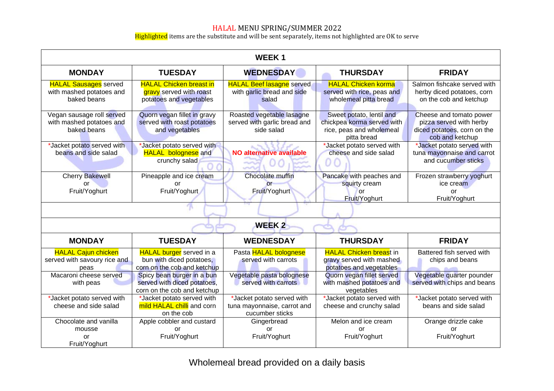## HALAL MENU SPRING/SUMMER 2022

Highlighted items are the substitute and will be sent separately, items not highlighted are OK to serve

| <b>WEEK1</b>                                                            |                                                                                            |                                                                              |                                                                                                   |                                                                                                      |  |  |
|-------------------------------------------------------------------------|--------------------------------------------------------------------------------------------|------------------------------------------------------------------------------|---------------------------------------------------------------------------------------------------|------------------------------------------------------------------------------------------------------|--|--|
| <b>MONDAY</b>                                                           | <b>TUESDAY</b>                                                                             | <b>WEDNESDAY</b>                                                             | <b>THURSDAY</b>                                                                                   | <b>FRIDAY</b>                                                                                        |  |  |
| <b>HALAL Sausages</b> served<br>with mashed potatoes and<br>baked beans | <b>HALAL Chicken breast in</b><br>gravy served with roast<br>potatoes and vegetables       | <b>HALAL Beef lasagne</b> served<br>with garlic bread and side<br>salad      | <b>HALAL Chicken korma</b><br>served with rice, peas and<br>wholemeal pitta bread                 | Salmon fishcake served with<br>herby diced potatoes, corn<br>on the cob and ketchup                  |  |  |
| Vegan sausage roll served<br>with mashed potatoes and<br>baked beans    | Quorn vegan fillet in gravy<br>served with roast potatoes<br>and vegetables                | Roasted vegetable lasagne<br>served with garlic bread and<br>side salad      | Sweet potato, lentil and<br>chickpea korma served with<br>rice, peas and wholemeal<br>pitta bread | Cheese and tomato power<br>pizza served with herby<br>diced potatoes, corn on the<br>cob and ketchup |  |  |
| *Jacket potato served with<br>beans and side salad                      | Jacket potato served with<br><b>HALAL</b> bolognese and<br>crunchy salad                   | <b>NO alternative available</b>                                              | *Jacket potato served with<br>cheese and side salad<br>O C                                        | *Jacket potato served with<br>tuna mayonnaise and carrot<br>and cucumber sticks                      |  |  |
| <b>Cherry Bakewell</b><br>or<br>Fruit/Yoghurt                           | Pineapple and ice cream<br>or<br>Fruit/Yoghurt                                             | <b>Chocolate muffin</b><br>$\overline{or}$<br>Fruit/Yoghurt                  | Pancake with peaches and<br>squirty cream<br><b>or</b><br>Fruit/Yoghurt                           | Frozen strawberry yoghurt<br>ice cream<br>or<br>Fruit/Yoghurt                                        |  |  |
|                                                                         |                                                                                            |                                                                              |                                                                                                   |                                                                                                      |  |  |
| <b>WEEK2</b>                                                            |                                                                                            |                                                                              |                                                                                                   |                                                                                                      |  |  |
| <b>MONDAY</b>                                                           | <b>TUESDAY</b>                                                                             | <b>WEDNESDAY</b>                                                             | <b>THURSDAY</b>                                                                                   | <b>FRIDAY</b>                                                                                        |  |  |
| <b>HALAL Cajun chicken</b><br>served with savoury rice and<br>peas      | <b>HALAL burger</b> served in a<br>bun with diced potatoes,<br>corn on the cob and ketchup | Pasta HALAL bolognese<br>served with carrots                                 | <b>HALAL Chicken breast in</b><br>gravy served with mashed<br>potatoes and vegetables             | Battered fish served with<br>chips and beans                                                         |  |  |
| Macaroni cheese served<br>with peas                                     | Spicy bean burger in a bun<br>served with diced potatoes,<br>corn on the cob and ketchup   | Vegetable pasta bolognese<br>served with carrots                             | Quorn vegan fillet served<br>with mashed potatoes and<br>vegetables                               | Vegetable quarter pounder<br>served with chips and beans                                             |  |  |
| *Jacket potato served with<br>cheese and side salad                     | *Jacket potato served with<br>mild HALAL chilli and corn<br>on the cob                     | *Jacket potato served with<br>tuna mayonnaise, carrot and<br>cucumber sticks | *Jacket potato served with<br>cheese and crunchy salad                                            | *Jacket potato served with<br>beans and side salad                                                   |  |  |
| Chocolate and vanilla<br>mousse<br>or<br>Fruit/Yoghurt                  | Apple cobbler and custard<br>or<br>Fruit/Yoghurt                                           | Gingerbread<br>or<br>Fruit/Yoghurt                                           | Melon and ice cream<br>or<br>Fruit/Yoghurt                                                        | Orange drizzle cake<br>or<br>Fruit/Yoghurt                                                           |  |  |

Wholemeal bread provided on a daily basis